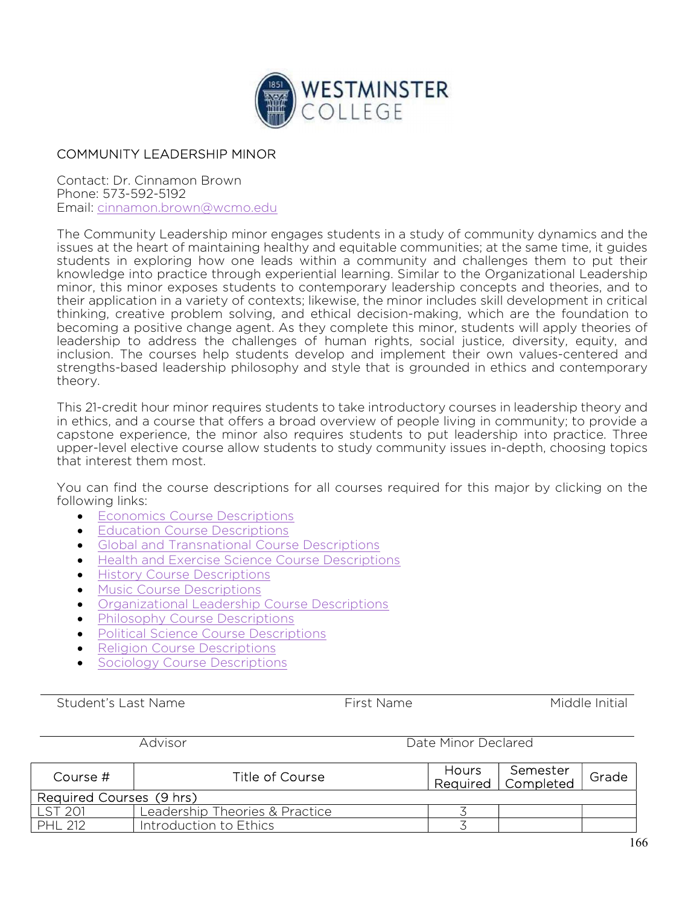

## COMMUNITY LEADERSHIP MINOR

Contact: Dr. Cinnamon Brown Phone: 573-592-5192 Email: cinnamon.brown@wcmo.edu

The Community Leadership minor engages students in a study of community dynamics and the issues at the heart of maintaining healthy and equitable communities; at the same time, it guides students in exploring how one leads within a community and challenges them to put their knowledge into practice through experiential learning. Similar to the Organizational Leadership minor, this minor exposes students to contemporary leadership concepts and theories, and to their application in a variety of contexts; likewise, the minor includes skill development in critical thinking, creative problem solving, and ethical decision-making, which are the foundation to becoming a positive change agent. As they complete this minor, students will apply theories of leadership to address the challenges of human rights, social justice, diversity, equity, and inclusion. The courses help students develop and implement their own values-centered and strengths-based leadership philosophy and style that is grounded in ethics and contemporary theory.

This 21-credit hour minor requires students to take introductory courses in leadership theory and in ethics, and a course that offers a broad overview of people living in community; to provide a capstone experience, the minor also requires students to put leadership into practice. Three upper-level elective course allow students to study community issues in-depth, choosing topics that interest them most.

You can find the course descriptions for all courses required for this major by clicking on the following links:

- **Economics Course Descriptions**
- Education Course Descriptions
- Global and Transnational Course Descriptions
- **Health and Exercise Science Course Descriptions**
- **•** History Course Descriptions
- **•** Music Course Descriptions
- Organizational Leadership Course Descriptions
- Philosophy Course Descriptions
- Political Science Course Descriptions
- Religion Course Descriptions
- Sociology Course Descriptions

Student's Last Name The Student's Last Name The Middle Initial

Advisor **Date Minor Declared** 

| Course #                 | Title of Course                | Hours | Semester<br>Required   Completed | Grade |  |  |  |
|--------------------------|--------------------------------|-------|----------------------------------|-------|--|--|--|
| Required Courses (9 hrs) |                                |       |                                  |       |  |  |  |
| LST 201                  | Leadership Theories & Practice |       |                                  |       |  |  |  |
| <b>PHL 212</b>           | Introduction to Ethics         |       |                                  |       |  |  |  |